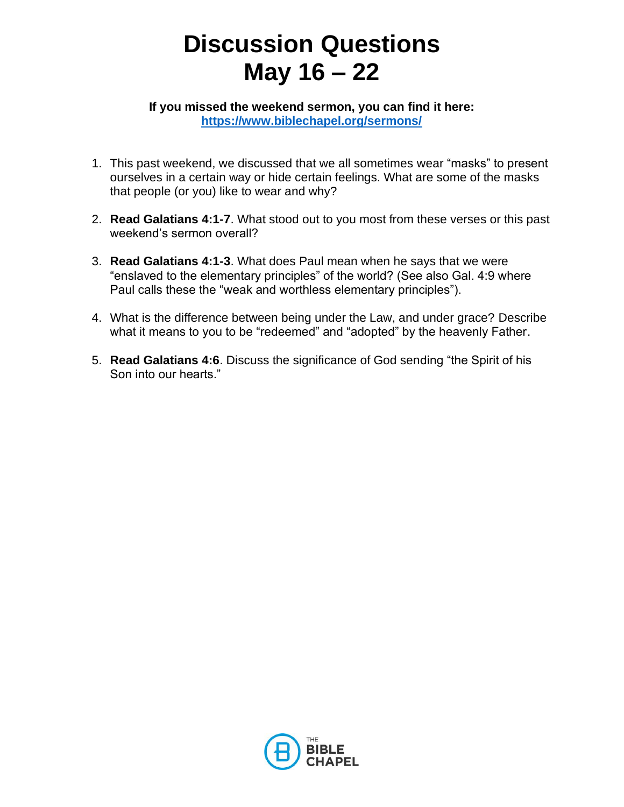## **Discussion Questions May 16 – 22**

**If you missed the weekend sermon, you can find it here: <https://www.biblechapel.org/sermons/>**

- 1. This past weekend, we discussed that we all sometimes wear "masks" to present ourselves in a certain way or hide certain feelings. What are some of the masks that people (or you) like to wear and why?
- 2. **Read Galatians 4:1-7**. What stood out to you most from these verses or this past weekend's sermon overall?
- 3. **Read Galatians 4:1-3**. What does Paul mean when he says that we were "enslaved to the elementary principles" of the world? (See also Gal. 4:9 where Paul calls these the "weak and worthless elementary principles").
- 4. What is the difference between being under the Law, and under grace? Describe what it means to you to be "redeemed" and "adopted" by the heavenly Father.
- 5. **Read Galatians 4:6**. Discuss the significance of God sending "the Spirit of his Son into our hearts."